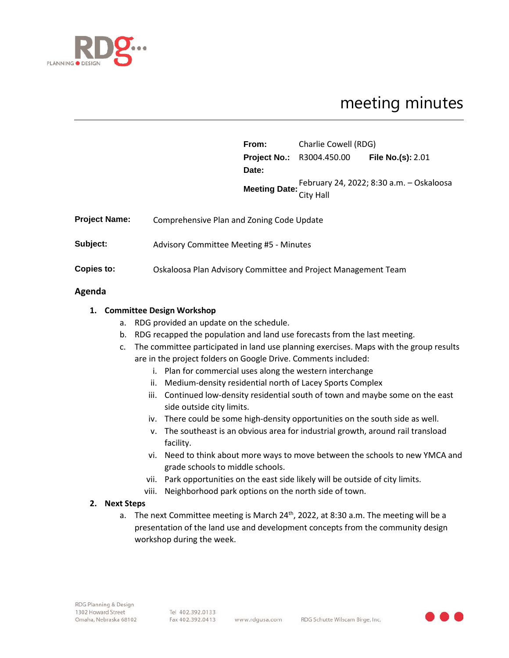

# meeting minutes

|                      |                                                               | From: | Charlie Cowell (RDG)                                   |                          |
|----------------------|---------------------------------------------------------------|-------|--------------------------------------------------------|--------------------------|
|                      |                                                               |       | <b>Project No.: R3004.450.00</b>                       | <b>File No.(s): 2.01</b> |
|                      |                                                               | Date: |                                                        |                          |
|                      |                                                               |       | Meeting Date: February 24, 2022; 8:30 a.m. - Oskaloosa |                          |
|                      |                                                               |       |                                                        |                          |
| <b>Project Name:</b> | Comprehensive Plan and Zoning Code Update                     |       |                                                        |                          |
| Subject:             | <b>Advisory Committee Meeting #5 - Minutes</b>                |       |                                                        |                          |
| Copies to:           | Oskaloosa Plan Advisory Committee and Project Management Team |       |                                                        |                          |

### **Agenda**

## **1. Committee Design Workshop**

- a. RDG provided an update on the schedule.
- b. RDG recapped the population and land use forecasts from the last meeting.
- c. The committee participated in land use planning exercises. Maps with the group results are in the project folders on Google Drive. Comments included:
	- i. Plan for commercial uses along the western interchange
	- ii. Medium-density residential north of Lacey Sports Complex
	- iii. Continued low-density residential south of town and maybe some on the east side outside city limits.
	- iv. There could be some high-density opportunities on the south side as well.
	- v. The southeast is an obvious area for industrial growth, around rail transload facility.
	- vi. Need to think about more ways to move between the schools to new YMCA and grade schools to middle schools.
	- vii. Park opportunities on the east side likely will be outside of city limits.
	- viii. Neighborhood park options on the north side of town.

### **2. Next Steps**

a. The next Committee meeting is March  $24^{th}$ , 2022, at 8:30 a.m. The meeting will be a presentation of the land use and development concepts from the community design workshop during the week.